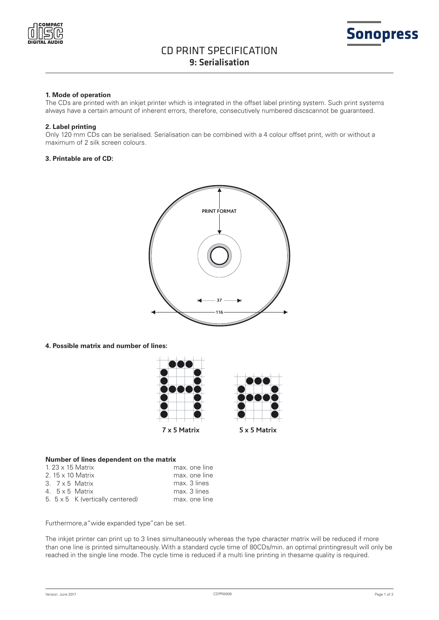



## **1. Mode of operation**

The CDs are printed with an inkjet printer which is integrated in the offset label printing system. Such print systems always have a certain amount of inherent errors, therefore, consecutively numbered discscannot be guaranteed.

### **2. Label printing**

Only 120 mm CDs can be serialised. Serialisation can be combined with a 4 colour offset print, with or without a maximum of 2 silk screen colours.

### **3. Printable are of CD:**



**4. Possible matrix and number of lines:**



### **Number of lines dependent on the matrix**

|  | 1.23 $\times$ 15 Matrix                 | max, one line |
|--|-----------------------------------------|---------------|
|  | 2. 15 x 10 Matrix                       | max, one line |
|  | $3.7 \times 5$ Matrix                   | max. 3 lines  |
|  | 4. 5 x 5 Matrix                         | max. 3 lines  |
|  | 5. $5 \times 5$ K (vertically centered) | max, one line |

Furthermore,a"wide expanded type"can be set.

The inkjet printer can print up to 3 lines simultaneously whereas the type character matrix will be reduced if more than one line is printed simultaneously. With a standard cycle time of 80CDs/min. an optimal printingresult will only be reached in the single line mode. The cycle time is reduced if a multi line printing in thesame quality is required.

**Sonopress**